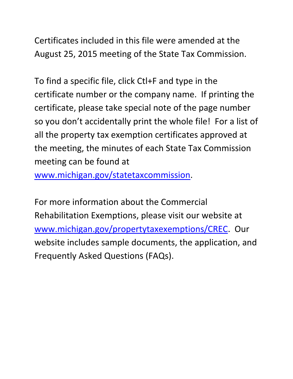Certificates included in this file were amended at the August 25, 2015 meeting of the State Tax Commission.

To find a specific file, click Ctl+F and type in the certificate number or the company name. If printing the certificate, please take special note of the page number so you don't accidentally print the whole file! For a list of all the property tax exemption certificates approved at the meeting, the minutes of each State Tax Commission meeting can be found at

www.michigan.gov/statetaxcommission.

For more information about the Commercial Rehabilitation Exemptions, please visit our website at www.michigan.gov/propertytaxexemptions/CREC. Our website includes sample documents, the application, and Frequently Asked Questions (FAQs).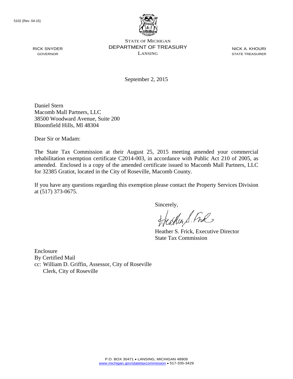

STATE OF MICHIGAN DEPARTMENT OF TREASURY LANSING

NICK A. KHOURI STATE TREASURER

September 2, 2015

Daniel Stern Macomb Mall Partners, LLC 38500 Woodward Avenue, Suite 200 Bloomfield Hills, MI 48304

Dear Sir or Madam:

The State Tax Commission at their August 25, 2015 meeting amended your commercial rehabilitation exemption certificate C2014-003, in accordance with Public Act 210 of 2005, as amended. Enclosed is a copy of the amended certificate issued to Macomb Mall Partners, LLC for 32385 Gratiot, located in the City of Roseville, Macomb County.

If you have any questions regarding this exemption please contact the Property Services Division at (517) 373-0675.

Sincerely,

carlier S. Free

Heather S. Frick, Executive Director State Tax Commission

Enclosure By Certified Mail cc: William D. Griffin, Assessor, City of Roseville Clerk, City of Roseville

RICK SNYDER GOVERNOR